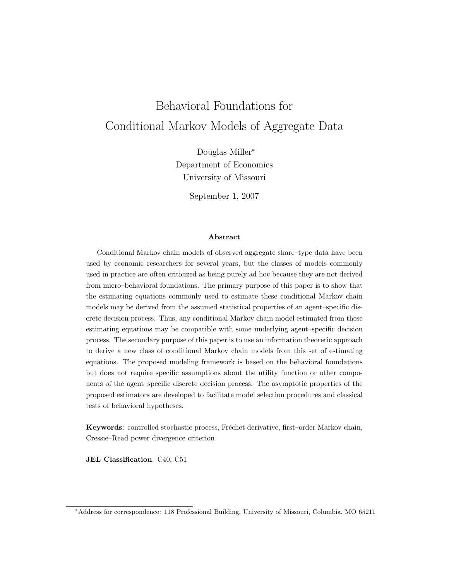# Behavioral Foundations for Conditional Markov Models of Aggregate Data

Douglas Miller<sup>∗</sup> Department of Economics University of Missouri

September 1, 2007

#### **Abstract**

Conditional Markov chain models of observed aggregate share–type data have been used by economic researchers for several years, but the classes of models commonly used in practice are often criticized as being purely ad hoc because they are not derived from micro–behavioral foundations. The primary purpose of this paper is to show that the estimating equations commonly used to estimate these conditional Markov chain models may be derived from the assumed statistical properties of an agent–specific discrete decision process. Thus, any conditional Markov chain model estimated from these estimating equations may be compatible with some underlying agent–specific decision process. The secondary purpose of this paper is to use an information theoretic approach to derive a new class of conditional Markov chain models from this set of estimating equations. The proposed modeling framework is based on the behavioral foundations but does not require specific assumptions about the utility function or other components of the agent–specific discrete decision process. The asymptotic properties of the proposed estimators are developed to facilitate model selection procedures and classical tests of behavioral hypotheses.

**Keywords**: controlled stochastic process, Fréchet derivative, first–order Markov chain, Cressie–Read power divergence criterion

**JEL Classification**: C40, C51

<sup>∗</sup>Address for correspondence: 118 Professional Building, University of Missouri, Columbia, MO 65211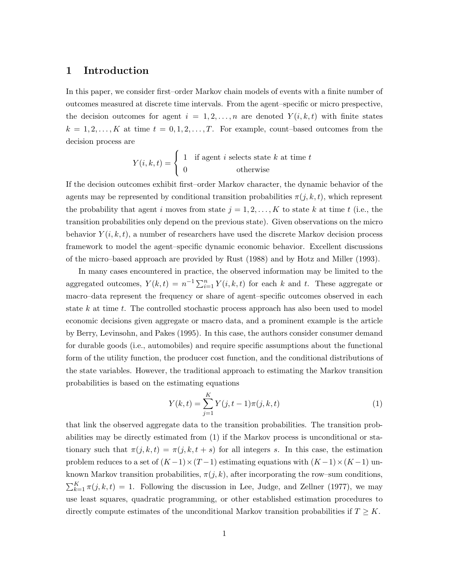## **1 Introduction**

In this paper, we consider first–order Markov chain models of events with a finite number of outcomes measured at discrete time intervals. From the agent–specific or micro prespective, the decision outcomes for agent  $i = 1, 2, \ldots, n$  are denoted  $Y(i, k, t)$  with finite states  $k = 1, 2, \ldots, K$  at time  $t = 0, 1, 2, \ldots, T$ . For example, count-based outcomes from the decision process are

$$
Y(i,k,t) = \begin{cases} 1 & \text{if agent } i \text{ selects state } k \text{ at time } t \\ 0 & \text{otherwise} \end{cases}
$$

If the decision outcomes exhibit first–order Markov character, the dynamic behavior of the agents may be represented by conditional transition probabilities  $\pi(j, k, t)$ , which represent the probability that agent i moves from state  $j = 1, 2, \ldots, K$  to state k at time t (i.e., the transition probabilities only depend on the previous state). Given observations on the micro behavior  $Y(i, k, t)$ , a number of researchers have used the discrete Markov decision process framework to model the agent–specific dynamic economic behavior. Excellent discussions of the micro–based approach are provided by Rust (1988) and by Hotz and Miller (1993).

In many cases encountered in practice, the observed information may be limited to the aggregated outcomes,  $Y(k,t) = n^{-1} \sum_{i=1}^{n} Y(i,k,t)$  for each k and t. These aggregate or macro–data represent the frequency or share of agent–specific outcomes observed in each state k at time t. The controlled stochastic process approach has also been used to model economic decisions given aggregate or macro data, and a prominent example is the article by Berry, Levinsohn, and Pakes (1995). In this case, the authors consider consumer demand for durable goods (i.e., automobiles) and require specific assumptions about the functional form of the utility function, the producer cost function, and the conditional distributions of the state variables. However, the traditional approach to estimating the Markov transition probabilities is based on the estimating equations

$$
Y(k,t) = \sum_{j=1}^{K} Y(j,t-1)\pi(j,k,t)
$$
 (1)

that link the observed aggregate data to the transition probabilities. The transition probabilities may be directly estimated from (1) if the Markov process is unconditional or stationary such that  $\pi(j, k, t) = \pi(j, k, t + s)$  for all integers s. In this case, the estimation problem reduces to a set of  $(K-1)\times(T-1)$  estimating equations with  $(K-1)\times(K-1)$  unknown Markov transition probabilities,  $\pi(j, k)$ , after incorporating the row–sum conditions,  $\sum_{k=1}^{K} \pi(j, k, t) = 1$ . Following the discussion in Lee, Judge, and Zellner (1977), we may use least squares, quadratic programming, or other established estimation procedures to directly compute estimates of the unconditional Markov transition probabilities if  $T \geq K$ .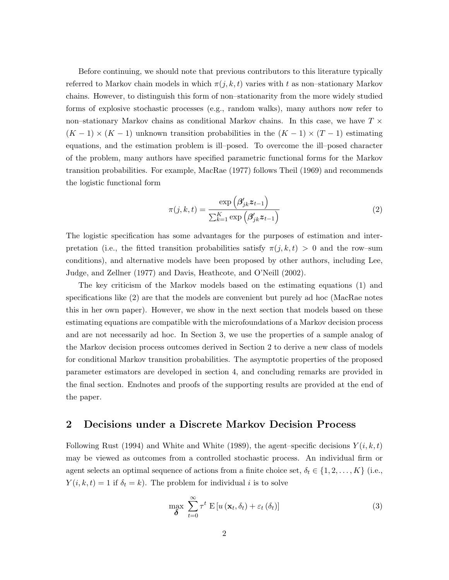Before continuing, we should note that previous contributors to this literature typically referred to Markov chain models in which  $\pi(j, k, t)$  varies with t as non-stationary Markov chains. However, to distinguish this form of non–stationarity from the more widely studied forms of explosive stochastic processes (e.g., random walks), many authors now refer to non–stationary Markov chains as conditional Markov chains. In this case, we have  $T \times$  $(K-1) \times (K-1)$  unknown transition probabilities in the  $(K-1) \times (T-1)$  estimating equations, and the estimation problem is ill–posed. To overcome the ill–posed character of the problem, many authors have specified parametric functional forms for the Markov transition probabilities. For example, MacRae (1977) follows Theil (1969) and recommends the logistic functional form

$$
\pi(j,k,t) = \frac{\exp\left(\beta'_{jk}z_{t-1}\right)}{\sum_{k=1}^{K}\exp\left(\beta'_{jk}z_{t-1}\right)}
$$
\n(2)

The logistic specification has some advantages for the purposes of estimation and interpretation (i.e., the fitted transition probabilities satisfy  $\pi(j, k, t) > 0$  and the row–sum conditions), and alternative models have been proposed by other authors, including Lee, Judge, and Zellner (1977) and Davis, Heathcote, and O'Neill (2002).

The key criticism of the Markov models based on the estimating equations (1) and specifications like (2) are that the models are convenient but purely ad hoc (MacRae notes this in her own paper). However, we show in the next section that models based on these estimating equations are compatible with the microfoundations of a Markov decision process and are not necessarily ad hoc. In Section 3, we use the properties of a sample analog of the Markov decision process outcomes derived in Section 2 to derive a new class of models for conditional Markov transition probabilities. The asymptotic properties of the proposed parameter estimators are developed in section 4, and concluding remarks are provided in the final section. Endnotes and proofs of the supporting results are provided at the end of the paper.

## **2 Decisions under a Discrete Markov Decision Process**

Following Rust (1994) and White and White (1989), the agent–specific decisions  $Y(i, k, t)$ may be viewed as outcomes from a controlled stochastic process. An individual firm or agent selects an optimal sequence of actions from a finite choice set,  $\delta_t \in \{1, 2, ..., K\}$  (i.e.,  $Y(i, k, t) = 1$  if  $\delta_t = k$ ). The problem for individual i is to solve

$$
\max_{\boldsymbol{\delta}} \sum_{t=0}^{\infty} \tau^t \mathbf{E} \left[ u \left( \mathbf{x}_t, \delta_t \right) + \varepsilon_t \left( \delta_t \right) \right] \tag{3}
$$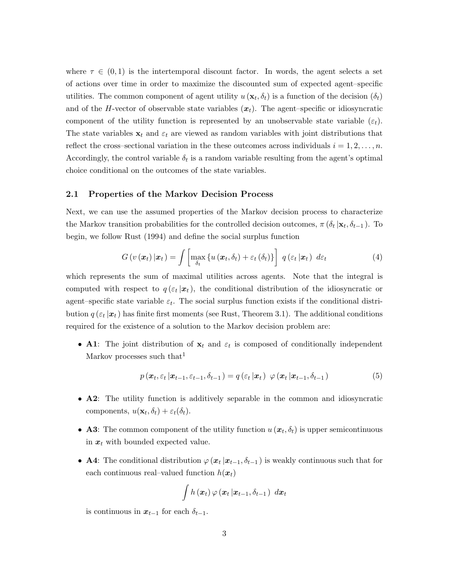where  $\tau \in (0,1)$  is the intertemporal discount factor. In words, the agent selects a set of actions over time in order to maximize the discounted sum of expected agent–specific utilities. The common component of agent utility  $u(\mathbf{x}_t, \delta_t)$  is a function of the decision  $(\delta_t)$ and of the H-vector of observable state variables  $(x_t)$ . The agent–specific or idiosyncratic component of the utility function is represented by an unobservable state variable  $(\varepsilon_t)$ . The state variables  $x_t$  and  $\varepsilon_t$  are viewed as random variables with joint distributions that reflect the cross–sectional variation in the these outcomes across individuals  $i = 1, 2, \ldots, n$ . Accordingly, the control variable  $\delta_t$  is a random variable resulting from the agent's optimal choice conditional on the outcomes of the state variables.

#### **2.1 Properties of the Markov Decision Process**

Next, we can use the assumed properties of the Markov decision process to characterize the Markov transition probabilities for the controlled decision outcomes,  $\pi(\delta_t | \mathbf{x}_t, \delta_{t-1})$ . To begin, we follow Rust (1994) and define the social surplus function

$$
G\left(v\left(\boldsymbol{x}_t\right)|\boldsymbol{x}_t\right) = \int \left[\max_{\delta_t} \left\{u\left(\boldsymbol{x}_t, \delta_t\right) + \varepsilon_t\left(\delta_t\right)\right\}\right] \, q\left(\varepsilon_t \left|\boldsymbol{x}_t\right) \, d\varepsilon_t \tag{4}
$$

which represents the sum of maximal utilities across agents. Note that the integral is computed with respect to  $q(\epsilon_t | \mathbf{x}_t)$ , the conditional distribution of the idiosyncratic or agent–specific state variable  $\varepsilon_t$ . The social surplus function exists if the conditional distribution  $q(\varepsilon_t | \mathbf{x}_t)$  has finite first moments (see Rust, Theorem 3.1). The additional conditions required for the existence of a solution to the Markov decision problem are:

• **A1**: The joint distribution of  $x_t$  and  $\varepsilon_t$  is composed of conditionally independent Markov processes such that  $\mathfrak{t}$ 

$$
p(\boldsymbol{x}_t, \varepsilon_t | \boldsymbol{x}_{t-1}, \varepsilon_{t-1}, \delta_{t-1}) = q(\varepsilon_t | \boldsymbol{x}_t) \varphi(\boldsymbol{x}_t | \boldsymbol{x}_{t-1}, \delta_{t-1})
$$
\n(5)

- **A2**: The utility function is additively separable in the common and idiosyncratic components,  $u(\mathbf{x}_t, \delta_t) + \varepsilon_t(\delta_t)$ .
- **A3**: The common component of the utility function  $u(\mathbf{x}_t, \delta_t)$  is upper semicontinuous in  $x_t$  with bounded expected value.
- **A4**: The conditional distribution  $\varphi(x_t | x_{t-1}, \delta_{t-1})$  is weakly continuous such that for each continuous real–valued function  $h(x_t)$

$$
\int h\left(\boldsymbol{x}_{t}\right) \varphi\left(\boldsymbol{x}_{t} \left|\boldsymbol{x}_{t-1}, \delta_{t-1}\right.\right) \; d\boldsymbol{x}_{t}
$$

is continuous in  $x_{t-1}$  for each  $\delta_{t-1}$ .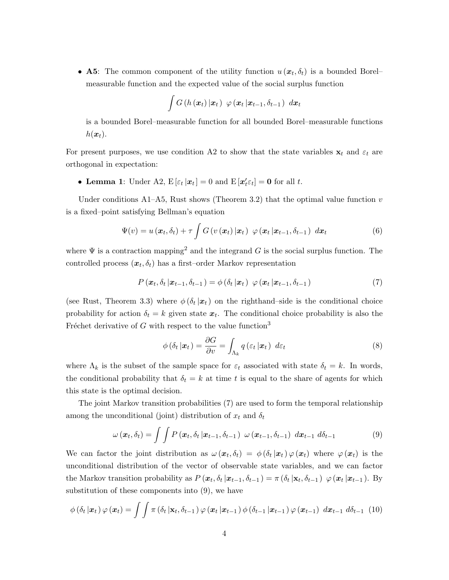• **A5**: The common component of the utility function  $u(x_t, \delta_t)$  is a bounded Borel– measurable function and the expected value of the social surplus function

$$
\int G\left(h\left(\boldsymbol{x}_{t}\right)|\boldsymbol{x}_{t}\right)\,\,\varphi\left(\boldsymbol{x}_{t}\left|\boldsymbol{x}_{t-1},\delta_{t-1}\right)\,\,d\boldsymbol{x}_{t}
$$

is a bounded Borel–measurable function for all bounded Borel–measurable functions  $h(\boldsymbol{x}_t)$ .

For present purposes, we use condition A2 to show that the state variables  $\mathbf{x}_t$  and  $\varepsilon_t$  are orthogonal in expectation:

• Lemma 1: Under A2,  $E[\varepsilon_t | x_t] = 0$  and  $E[x_t' \varepsilon_t] = 0$  for all t.

Under conditions A1–A5, Rust shows (Theorem 3.2) that the optimal value function  $v$ is a fixed–point satisfying Bellman's equation

$$
\Psi(v) = u\left(\boldsymbol{x}_t, \delta_t\right) + \tau \int G\left(v\left(\boldsymbol{x}_t\right)|\boldsymbol{x}_t\right) \varphi\left(\boldsymbol{x}_t\left|\boldsymbol{x}_{t-1}, \delta_{t-1}\right.\right) d\boldsymbol{x}_t \tag{6}
$$

where  $\Psi$  is a contraction mapping<sup>2</sup> and the integrand G is the social surplus function. The controlled process  $(x_t, \delta_t)$  has a first–order Markov representation

$$
P\left(\boldsymbol{x}_t, \delta_t \,|\boldsymbol{x}_{t-1}, \delta_{t-1}\right) = \phi\left(\delta_t \,|\boldsymbol{x}_t\right) \; \varphi\left(\boldsymbol{x}_t \,|\boldsymbol{x}_{t-1}, \delta_{t-1}\right) \tag{7}
$$

(see Rust, Theorem 3.3) where  $\phi(\delta_t|\mathbf{x}_t)$  on the righthand–side is the conditional choice probability for action  $\delta_t = k$  given state  $x_t$ . The conditional choice probability is also the Fréchet derivative of G with respect to the value function<sup>3</sup>

$$
\phi\left(\delta_t \left|\boldsymbol{x}_t\right.\right) = \frac{\partial G}{\partial v} = \int_{\Lambda_k} q\left(\varepsilon_t \left|\boldsymbol{x}_t\right.\right) d\varepsilon_t \tag{8}
$$

where  $\Lambda_k$  is the subset of the sample space for  $\varepsilon_t$  associated with state  $\delta_t = k$ . In words, the conditional probability that  $\delta_t = k$  at time t is equal to the share of agents for which this state is the optimal decision.

The joint Markov transition probabilities (7) are used to form the temporal relationship among the unconditional (joint) distribution of  $x_t$  and  $\delta_t$ 

$$
\omega\left(\boldsymbol{x}_{t}, \delta_{t}\right) = \int\int P\left(\boldsymbol{x}_{t}, \delta_{t} \left|\boldsymbol{x}_{t-1}, \delta_{t-1}\right.\right) \, \omega\left(\boldsymbol{x}_{t-1}, \delta_{t-1}\right) \, d\boldsymbol{x}_{t-1} \, d\delta_{t-1} \tag{9}
$$

We can factor the joint distribution as  $\omega(\mathbf{x}_t, \delta_t) = \phi(\delta_t | \mathbf{x}_t) \varphi(\mathbf{x}_t)$  where  $\varphi(\mathbf{x}_t)$  is the unconditional distribution of the vector of observable state variables, and we can factor the Markov transition probability as  $P(\mathbf{x}_t, \delta_t | \mathbf{x}_{t-1}, \delta_{t-1}) = \pi(\delta_t | \mathbf{x}_t, \delta_{t-1}) \varphi(\mathbf{x}_t | \mathbf{x}_{t-1}).$  By substitution of these components into (9), we have

$$
\phi\left(\delta_t\left|\boldsymbol{x}_t\right.\right)\varphi\left(\boldsymbol{x}_t\right)=\int\int\pi\left(\delta_t\left|\mathbf{x}_t,\delta_{t-1}\right.\right)\varphi\left(\boldsymbol{x}_t\left|\boldsymbol{x}_{t-1}\right.\right)\phi\left(\delta_{t-1}\left|\boldsymbol{x}_{t-1}\right.\right)\varphi\left(\boldsymbol{x}_{t-1}\right)\,d\boldsymbol{x}_{t-1}\,d\delta_{t-1}\,\,(10)
$$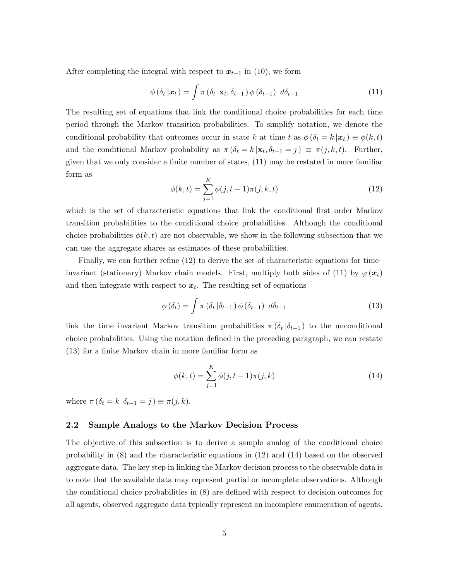After completing the integral with respect to  $x_{t-1}$  in (10), we form

$$
\phi\left(\delta_t\left|\boldsymbol{x}_t\right.\right) = \int \pi\left(\delta_t\left|\mathbf{x}_t,\delta_{t-1}\right.\right) \phi\left(\delta_{t-1}\right) \; d\delta_{t-1} \tag{11}
$$

The resulting set of equations that link the conditional choice probabilities for each time period through the Markov transition probabilities. To simplify notation, we denote the conditional probability that outcomes occur in state k at time t as  $\phi(\delta_t = k | \mathbf{x}_t) \equiv \phi(k, t)$ and the conditional Markov probability as  $\pi (\delta_t = k | \mathbf{x}_t, \delta_{t-1} = j) \equiv \pi(j, k, t)$ . Further, given that we only consider a finite number of states, (11) may be restated in more familiar form as

$$
\phi(k,t) = \sum_{j=1}^{K} \phi(j,t-1)\pi(j,k,t)
$$
\n(12)

which is the set of characteristic equations that link the conditional first–order Markov transition probabilities to the conditional choice probabilities. Although the conditional choice probabilities  $\phi(k, t)$  are not observable, we show in the following subsection that we can use the aggregate shares as estimates of these probabilities.

Finally, we can further refine (12) to derive the set of characteristic equations for time– invariant (stationary) Markov chain models. First, multiply both sides of (11) by  $\varphi(\boldsymbol{x}_t)$ and then integrate with respect to  $x_t$ . The resulting set of equations

$$
\phi(\delta_t) = \int \pi (\delta_t | \delta_{t-1}) \phi(\delta_{t-1}) d\delta_{t-1}
$$
\n(13)

link the time–invariant Markov transition probabilities  $\pi(\delta_t|\delta_{t-1})$  to the unconditional choice probabilities. Using the notation defined in the preceding paragraph, we can restate (13) for a finite Markov chain in more familiar form as

$$
\phi(k,t) = \sum_{j=1}^{K} \phi(j,t-1)\pi(j,k)
$$
\n(14)

where  $\pi (\delta_t = k | \delta_{t-1} = j) \equiv \pi(j, k)$ .

#### **2.2 Sample Analogs to the Markov Decision Process**

The objective of this subsection is to derive a sample analog of the conditional choice probability in (8) and the characteristic equations in (12) and (14) based on the observed aggregate data. The key step in linking the Markov decision process to the observable data is to note that the available data may represent partial or incomplete observations. Although the conditional choice probabilities in (8) are defined with respect to decision outcomes for all agents, observed aggregate data typically represent an incomplete enumeration of agents.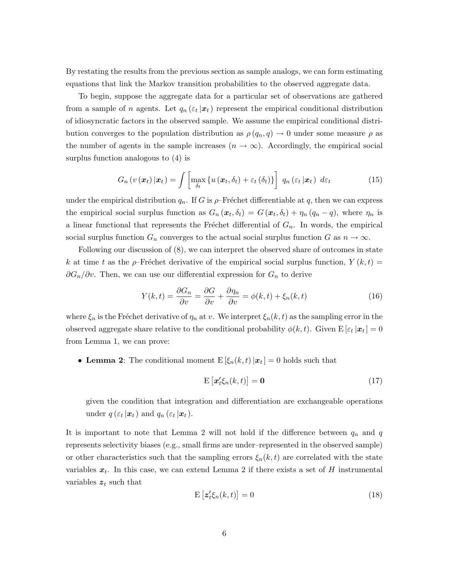By restating the results from the previous section as sample analogs, we can form estimating equations that link the Markov transition probabilities to the observed aggregate data.

To begin, suppose the aggregate data for a particular set of observations are gathered from a sample of *n* agents. Let  $q_n(\varepsilon_t | \boldsymbol{x}_t)$  represent the empirical conditional distribution of idiosyncratic factors in the observed sample. We assume the empirical conditional distribution converges to the population distribution as  $\rho(q_n, q) \to 0$  under some measure  $\rho$  as the number of agents in the sample increases  $(n \to \infty)$ . Accordingly, the empirical social surplus function analogous to (4) is

$$
G_n\left(v\left(\boldsymbol{x}_t\right)|\boldsymbol{x}_t\right) = \int \left[\max_{\delta_t} \left\{u\left(\boldsymbol{x}_t, \delta_t\right) + \varepsilon_t\left(\delta_t\right)\right\}\right] \, q_n\left(\varepsilon_t \left|\boldsymbol{x}_t\right) \, d\varepsilon_t \tag{15}
$$

under the empirical distribution  $q_n$ . If G is  $\rho$ -Fréchet differentiable at q, then we can express the empirical social surplus function as  $G_n(\boldsymbol{x}_t, \delta_t) = G(\boldsymbol{x}_t, \delta_t) + \eta_n (q_n - q)$ , where  $\eta_n$  is a linear functional that represents the Fréchet differential of  $G_n$ . In words, the empirical social surplus function  $G_n$  converges to the actual social surplus function G as  $n \to \infty$ .

Following our discussion of (8), we can interpret the observed share of outcomes in state k at time t as the  $\rho$ -Fréchet derivative of the empirical social surplus function,  $Y(k,t)$  =  $\partial G_n/\partial v$ . Then, we can use our differential expression for  $G_n$  to derive

$$
Y(k,t) = \frac{\partial G_n}{\partial v} = \frac{\partial G}{\partial v} + \frac{\partial \eta_n}{\partial v} = \phi(k,t) + \xi_n(k,t)
$$
\n(16)

where  $\xi_n$  is the Fréchet derivative of  $\eta_n$  at v. We interpret  $\xi_n(k, t)$  as the sampling error in the observed aggregate share relative to the conditional probability  $\phi(k, t)$ . Given  $E[\varepsilon_t | \mathbf{x}_t] = 0$ from Lemma 1, we can prove:

• Lemma 2: The conditional moment  $E[\xi_n(k,t)|x_t] = 0$  holds such that

$$
\mathbf{E}\left[\mathbf{x}'_t \xi_n(k,t)\right] = \mathbf{0} \tag{17}
$$

given the condition that integration and differentiation are exchangeable operations under  $q\left(\varepsilon_t\left|\boldsymbol{x}_t\right.\right)$  and  $q_n\left(\varepsilon_t\left|\boldsymbol{x}_t\right.\right)$ .

It is important to note that Lemma 2 will not hold if the difference between  $q_n$  and q represents selectivity biases (e.g., small firms are under–represented in the observed sample) or other characteristics such that the sampling errors  $\xi_n(k,t)$  are correlated with the state variables  $x_t$ . In this case, we can extend Lemma 2 if there exists a set of H instrumental variables  $z_t$  such that

$$
\mathbf{E}\left[\mathbf{z}'_t \xi_n(k,t)\right] = 0\tag{18}
$$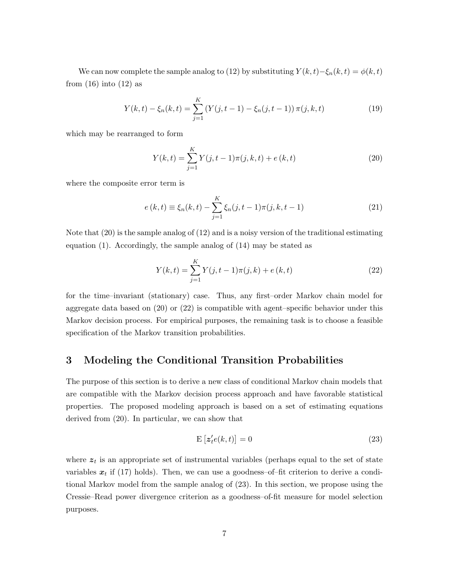We can now complete the sample analog to (12) by substituting  $Y(k, t) - \xi_n(k, t) = \phi(k, t)$ from  $(16)$  into  $(12)$  as

$$
Y(k,t) - \xi_n(k,t) = \sum_{j=1}^K \left(Y(j,t-1) - \xi_n(j,t-1)\right) \pi(j,k,t)
$$
\n(19)

which may be rearranged to form

$$
Y(k,t) = \sum_{j=1}^{K} Y(j,t-1)\pi(j,k,t) + e(k,t)
$$
\n(20)

where the composite error term is

$$
e(k,t) \equiv \xi_n(k,t) - \sum_{j=1}^{K} \xi_n(j,t-1)\pi(j,k,t-1)
$$
 (21)

Note that (20) is the sample analog of (12) and is a noisy version of the traditional estimating equation (1). Accordingly, the sample analog of (14) may be stated as

$$
Y(k,t) = \sum_{j=1}^{K} Y(j,t-1)\pi(j,k) + e(k,t)
$$
\n(22)

for the time–invariant (stationary) case. Thus, any first–order Markov chain model for aggregate data based on (20) or (22) is compatible with agent–specific behavior under this Markov decision process. For empirical purposes, the remaining task is to choose a feasible specification of the Markov transition probabilities.

## **3 Modeling the Conditional Transition Probabilities**

The purpose of this section is to derive a new class of conditional Markov chain models that are compatible with the Markov decision process approach and have favorable statistical properties. The proposed modeling approach is based on a set of estimating equations derived from (20). In particular, we can show that

$$
\mathbf{E}\left[\mathbf{z}'_{t}e(k,t)\right] = 0\tag{23}
$$

where  $z_t$  is an appropriate set of instrumental variables (perhaps equal to the set of state variables  $x_t$  if (17) holds). Then, we can use a goodness-of-fit criterion to derive a conditional Markov model from the sample analog of (23). In this section, we propose using the Cressie–Read power divergence criterion as a goodness–of-fit measure for model selection purposes.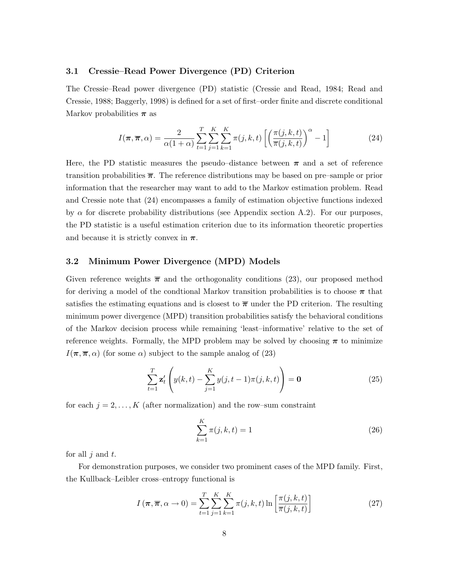#### **3.1 Cressie–Read Power Divergence (PD) Criterion**

The Cressie–Read power divergence (PD) statistic (Cressie and Read, 1984; Read and Cressie, 1988; Baggerly, 1998) is defined for a set of first–order finite and discrete conditional Markov probabilities *π* as

$$
I(\boldsymbol{\pi}, \overline{\boldsymbol{\pi}}, \alpha) = \frac{2}{\alpha(1+\alpha)} \sum_{t=1}^{T} \sum_{j=1}^{K} \sum_{k=1}^{K} \pi(j, k, t) \left[ \left( \frac{\pi(j, k, t)}{\overline{\pi}(j, k, t)} \right)^{\alpha} - 1 \right]
$$
(24)

Here, the PD statistic measures the pseudo–distance between  $\pi$  and a set of reference transition probabilities *π*. The reference distributions may be based on pre–sample or prior information that the researcher may want to add to the Markov estimation problem. Read and Cressie note that (24) encompasses a family of estimation objective functions indexed by  $\alpha$  for discrete probability distributions (see Appendix section A.2). For our purposes, the PD statistic is a useful estimation criterion due to its information theoretic properties and because it is strictly convex in  $\pi$ .

#### **3.2 Minimum Power Divergence (MPD) Models**

Given reference weights  $\bar{\pi}$  and the orthogonality conditions (23), our proposed method for deriving a model of the condtional Markov transition probabilities is to choose *π* that satisfies the estimating equations and is closest to  $\bar{\pi}$  under the PD criterion. The resulting minimum power divergence (MPD) transition probabilities satisfy the behavioral conditions of the Markov decision process while remaining 'least–informative' relative to the set of reference weights. Formally, the MPD problem may be solved by choosing  $\pi$  to minimize  $I(\pi,\overline{\pi},\alpha)$  (for some  $\alpha$ ) subject to the sample analog of (23)

$$
\sum_{t=1}^{T} \mathbf{z}'_t \left( y(k, t) - \sum_{j=1}^{K} y(j, t-1)\pi(j, k, t) \right) = \mathbf{0}
$$
\n(25)

for each  $j = 2, \ldots, K$  (after normalization) and the row–sum constraint

$$
\sum_{k=1}^{K} \pi(j, k, t) = 1
$$
\n(26)

for all  $j$  and  $t$ .

For demonstration purposes, we consider two prominent cases of the MPD family. First, the Kullback–Leibler cross–entropy functional is

$$
I\left(\pi,\overline{\pi},\alpha\to 0\right) = \sum_{t=1}^{T} \sum_{j=1}^{K} \sum_{k=1}^{K} \pi(j,k,t) \ln\left[\frac{\pi(j,k,t)}{\overline{\pi}(j,k,t)}\right]
$$
(27)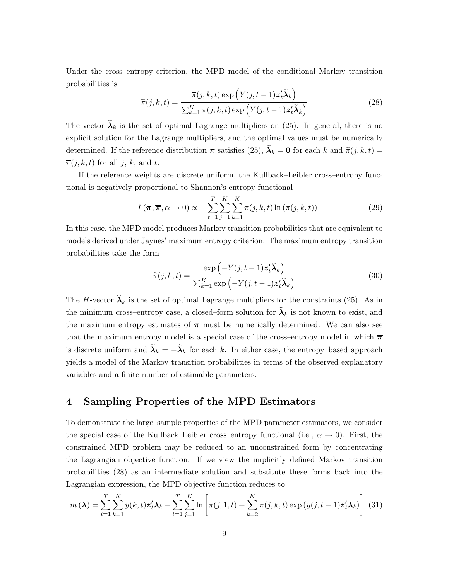Under the cross–entropy criterion, the MPD model of the conditional Markov transition probabilities is

$$
\widetilde{\pi}(j,k,t) = \frac{\overline{\pi}(j,k,t) \exp\left(Y(j,t-1) \mathbf{z}_t^T \widetilde{\mathbf{\lambda}}_k\right)}{\sum_{k=1}^K \overline{\pi}(j,k,t) \exp\left(Y(j,t-1) \mathbf{z}_t^T \widetilde{\mathbf{\lambda}}_k\right)}
$$
(28)

The vector  $\lambda_k$  is the set of optimal Lagrange multipliers on (25). In general, there is no explicit solution for the Lagrange multipliers, and the optimal values must be numerically determined. If the reference distribution  $\bar{\pi}$  satisfies (25),  $\tilde{\lambda}_k = 0$  for each k and  $\tilde{\pi}(j, k, t) =$  $\overline{\pi}(j, k, t)$  for all j, k, and t.

If the reference weights are discrete uniform, the Kullback–Leibler cross–entropy functional is negatively proportional to Shannon's entropy functional

$$
-I\left(\pi,\overline{\pi},\alpha\to 0\right)\propto -\sum_{t=1}^{T}\sum_{j=1}^{K}\sum_{k=1}^{K}\pi(j,k,t)\ln\left(\pi(j,k,t)\right) \tag{29}
$$

In this case, the MPD model produces Markov transition probabilities that are equivalent to models derived under Jaynes' maximum entropy criterion. The maximum entropy transition probabilities take the form

$$
\widehat{\pi}(j,k,t) = \frac{\exp\left(-Y(j,t-1)\mathbf{z}_t'\widehat{\boldsymbol{\lambda}}_k\right)}{\sum_{k=1}^K \exp\left(-Y(j,t-1)\mathbf{z}_t'\widehat{\boldsymbol{\lambda}}_k\right)}
$$
(30)

The H-vector  $\hat{\lambda}_k$  is the set of optimal Lagrange multipliers for the constraints (25). As in the minimum cross–entropy case, a closed–form solution for  $\hat{\lambda}_k$  is not known to exist, and the maximum entropy estimates of  $\pi$  must be numerically determined. We can also see that the maximum entropy model is a special case of the cross–entropy model in which  $\bar{\pi}$ is discrete uniform and  $\tilde{\lambda}_k = -\hat{\lambda}_k$  for each k. In either case, the entropy–based approach yields a model of the Markov transition probabilities in terms of the observed explanatory variables and a finite number of estimable parameters.

## **4 Sampling Properties of the MPD Estimators**

To demonstrate the large–sample properties of the MPD parameter estimators, we consider the special case of the Kullback–Leibler cross–entropy functional (i.e.,  $\alpha \to 0$ ). First, the constrained MPD problem may be reduced to an unconstrained form by concentrating the Lagrangian objective function. If we view the implicitly defined Markov transition probabilities (28) as an intermediate solution and substitute these forms back into the Lagrangian expression, the MPD objective function reduces to

$$
m(\boldsymbol{\lambda}) = \sum_{t=1}^{T} \sum_{k=1}^{K} y(k, t) \mathbf{z}_t^{\prime} \mathbf{\lambda}_k - \sum_{t=1}^{T} \sum_{j=1}^{K} \ln \left[ \overline{\pi}(j, 1, t) + \sum_{k=2}^{K} \overline{\pi}(j, k, t) \exp \left( y(j, t-1) \mathbf{z}_t^{\prime} \mathbf{\lambda}_k \right) \right] (31)
$$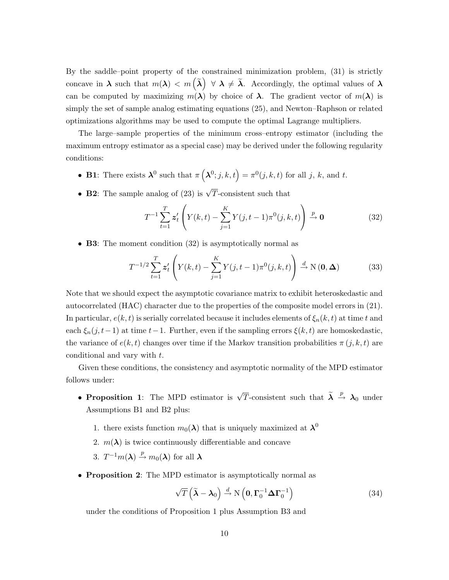By the saddle–point property of the constrained minimization problem, (31) is strictly concave in  $\lambda$  such that  $m(\lambda) < m(\tilde{\lambda}) \ \forall \ \lambda \neq \tilde{\lambda}$ . Accordingly, the optimal values of  $\lambda$ can be computed by maximizing  $m(\lambda)$  by choice of  $\lambda$ . The gradient vector of  $m(\lambda)$  is simply the set of sample analog estimating equations (25), and Newton–Raphson or related optimizations algorithms may be used to compute the optimal Lagrange multipliers.

The large–sample properties of the minimum cross–entropy estimator (including the maximum entropy estimator as a special case) may be derived under the following regularity conditions:

- **B1**: There exists  $\lambda^0$  such that  $\pi(\lambda^0; j, k, t) = \pi^0(j, k, t)$  for all j, k, and t.
- **B2**: The sample analog of (23) is  $\sqrt{T}$ -consistent such that

$$
T^{-1} \sum_{t=1}^{T} \mathbf{z}'_t \left( Y(k, t) - \sum_{j=1}^{K} Y(j, t-1) \pi^0(j, k, t) \right) \xrightarrow{p} \mathbf{0}
$$
 (32)

• **B3**: The moment condition (32) is asymptotically normal as

$$
T^{-1/2} \sum_{t=1}^{T} \mathbf{z}'_t \left( Y(k,t) - \sum_{j=1}^{K} Y(j,t-1) \pi^0(j,k,t) \right) \xrightarrow{d} \mathcal{N}(\mathbf{0}, \Delta)
$$
(33)

Note that we should expect the asymptotic covariance matrix to exhibit heteroskedastic and autocorrelated (HAC) character due to the properties of the composite model errors in (21). In particular,  $e(k, t)$  is serially correlated because it includes elements of  $\xi_n(k, t)$  at time t and each  $\xi_n(j, t-1)$  at time  $t-1$ . Further, even if the sampling errors  $\xi(k, t)$  are homoskedastic, the variance of  $e(k, t)$  changes over time if the Markov transition probabilities  $\pi(j, k, t)$  are conditional and vary with t.

Given these conditions, the consistency and asymptotic normality of the MPD estimator follows under:

- **Proposition 1**: The MPD estimator is  $\sqrt{T}$ -consistent such that  $\tilde{\lambda} \stackrel{p}{\rightarrow} \lambda_0$  under Assumptions B1 and B2 plus:
	- 1. there exists function  $m_0(\lambda)$  that is uniquely maximized at  $\lambda^0$
	- 2.  $m(\lambda)$  is twice continuously differentiable and concave

3. 
$$
T^{-1}m(\lambda) \stackrel{p}{\rightarrow} m_0(\lambda)
$$
 for all  $\lambda$ 

• **Proposition 2**: The MPD estimator is asymptotically normal as

$$
\sqrt{T}\left(\widetilde{\boldsymbol{\lambda}}-\boldsymbol{\lambda}_0\right) \stackrel{d}{\rightarrow} \mathrm{N}\left(\mathbf{0},\boldsymbol{\Gamma}_0^{-1}\boldsymbol{\Delta}\boldsymbol{\Gamma}_0^{-1}\right) \tag{34}
$$

under the conditions of Proposition 1 plus Assumption B3 and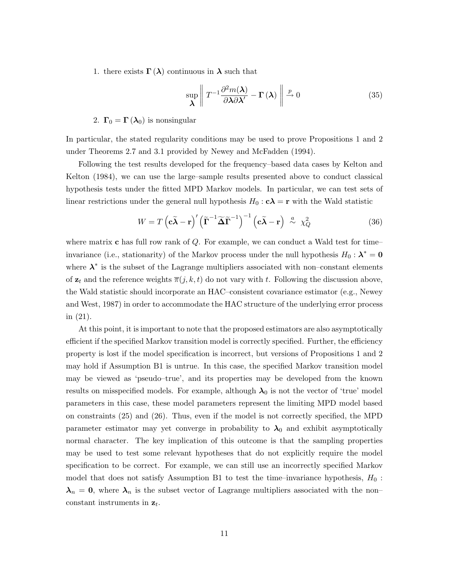1. there exists  $\Gamma(\lambda)$  continuous in  $\lambda$  such that

$$
\sup_{\lambda} \left\| T^{-1} \frac{\partial^2 m(\lambda)}{\partial \lambda \partial \lambda'} - \Gamma(\lambda) \right\| \xrightarrow{p} 0 \tag{35}
$$

2.  $\Gamma_0 = \Gamma(\lambda_0)$  is nonsingular

In particular, the stated regularity conditions may be used to prove Propositions 1 and 2 under Theorems 2.7 and 3.1 provided by Newey and McFadden (1994).

Following the test results developed for the frequency–based data cases by Kelton and Kelton (1984), we can use the large–sample results presented above to conduct classical hypothesis tests under the fitted MPD Markov models. In particular, we can test sets of linear restrictions under the general null hypothesis  $H_0$ :  $c\lambda = r$  with the Wald statistic

$$
W = T\left(\mathbf{c}\tilde{\boldsymbol{\lambda}} - \mathbf{r}\right)' \left(\tilde{\boldsymbol{\Gamma}}^{-1} \tilde{\boldsymbol{\Delta}} \tilde{\boldsymbol{\Gamma}}^{-1}\right)^{-1} \left(\mathbf{c}\tilde{\boldsymbol{\lambda}} - \mathbf{r}\right) \stackrel{a}{\sim} \chi^2_Q \tag{36}
$$

where matrix **c** has full row rank of Q. For example, we can conduct a Wald test for time– invariance (i.e., stationarity) of the Markov process under the null hypothesis  $H_0: \lambda^* = 0$ where  $\lambda^*$  is the subset of the Lagrange multipliers associated with non–constant elements of  $z_t$  and the reference weights  $\overline{\pi}(j, k, t)$  do not vary with t. Following the discussion above, the Wald statistic should incorporate an HAC–consistent covariance estimator (e.g., Newey and West, 1987) in order to accommodate the HAC structure of the underlying error process in (21).

At this point, it is important to note that the proposed estimators are also asymptotically efficient if the specified Markov transition model is correctly specified. Further, the efficiency property is lost if the model specification is incorrect, but versions of Propositions 1 and 2 may hold if Assumption B1 is untrue. In this case, the specified Markov transition model may be viewed as 'pseudo–true', and its properties may be developed from the known results on misspecified models. For example, although  $\lambda_0$  is not the vector of 'true' model parameters in this case, these model parameters represent the limiting MPD model based on constraints (25) and (26). Thus, even if the model is not correctly specified, the MPD parameter estimator may yet converge in probability to  $\lambda_0$  and exhibit asymptotically normal character. The key implication of this outcome is that the sampling properties may be used to test some relevant hypotheses that do not explicitly require the model specification to be correct. For example, we can still use an incorrectly specified Markov model that does not satisfy Assumption B1 to test the time–invariance hypothesis,  $H_0$ :  $\lambda_n = 0$ , where  $\lambda_n$  is the subset vector of Lagrange multipliers associated with the non– constant instruments in  $z_t$ .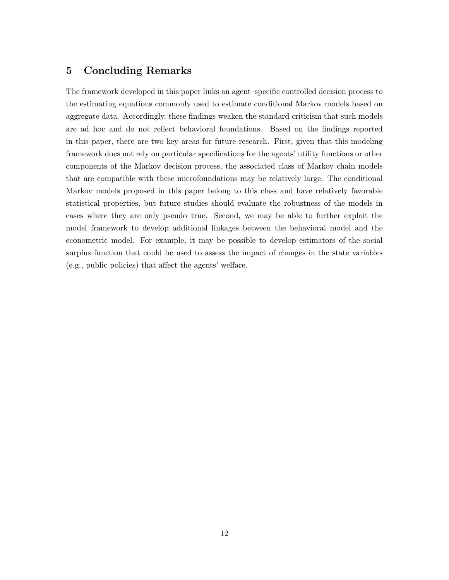## **5 Concluding Remarks**

The framework developed in this paper links an agent–specific controlled decision process to the estimating equations commonly used to estimate conditional Markov models based on aggregate data. Accordingly, these findings weaken the standard criticism that such models are ad hoc and do not reflect behavioral foundations. Based on the findings reported in this paper, there are two key areas for future research. First, given that this modeling framework does not rely on particular specifications for the agents' utility functions or other components of the Markov decision process, the associated class of Markov chain models that are compatible with these microfoundations may be relatively large. The conditional Markov models proposed in this paper belong to this class and have relatively favorable statistical properties, but future studies should evaluate the robustness of the models in cases where they are only pseudo–true. Second, we may be able to further exploit the model framework to develop additional linkages between the behavioral model and the econometric model. For example, it may be possible to develop estimators of the social surplus function that could be used to assess the impact of changes in the state variables (e.g., public policies) that affect the agents' welfare.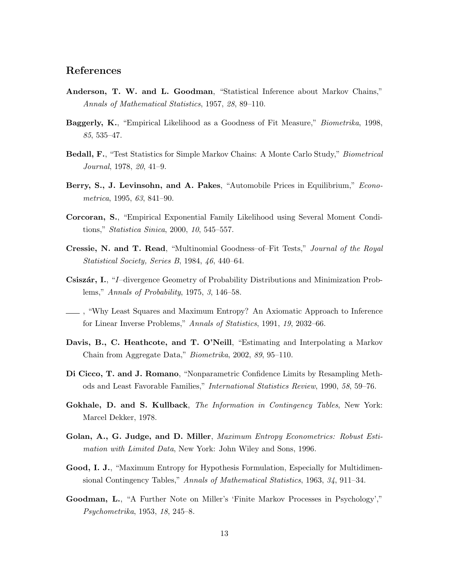## **References**

- **Anderson, T. W. and L. Goodman**, "Statistical Inference about Markov Chains," *Annals of Mathematical Statistics*, 1957, *28*, 89–110.
- **Baggerly, K.**, "Empirical Likelihood as a Goodness of Fit Measure," *Biometrika*, 1998, *85*, 535–47.
- **Bedall, F.**, "Test Statistics for Simple Markov Chains: A Monte Carlo Study," *Biometrical Journal*, 1978, *20*, 41–9.
- **Berry, S., J. Levinsohn, and A. Pakes**, "Automobile Prices in Equilibrium," *Econometrica*, 1995, *63*, 841–90.
- **Corcoran, S.**, "Empirical Exponential Family Likelihood using Several Moment Conditions," *Statistica Sinica*, 2000, *10*, 545–557.
- **Cressie, N. and T. Read**, "Multinomial Goodness–of–Fit Tests," *Journal of the Royal Statistical Society, Series B*, 1984, *46*, 440–64.
- **Csiszár, I.**, "I–divergence Geometry of Probability Distributions and Minimization Problems," *Annals of Probability*, 1975, *3*, 146–58.
- , "Why Least Squares and Maximum Entropy? An Axiomatic Approach to Inference for Linear Inverse Problems," *Annals of Statistics*, 1991, *19*, 2032–66.
- **Davis, B., C. Heathcote, and T. O'Neill**, "Estimating and Interpolating a Markov Chain from Aggregate Data," *Biometrika*, 2002, *89*, 95–110.
- **Di Cicco, T. and J. Romano**, "Nonparametric Confidence Limits by Resampling Methods and Least Favorable Families," *International Statistics Review*, 1990, *58*, 59–76.
- **Gokhale, D. and S. Kullback**, *The Information in Contingency Tables*, New York: Marcel Dekker, 1978.
- **Golan, A., G. Judge, and D. Miller**, *Maximum Entropy Econometrics: Robust Estimation with Limited Data*, New York: John Wiley and Sons, 1996.
- **Good, I. J.**, "Maximum Entropy for Hypothesis Formulation, Especially for Multidimensional Contingency Tables," *Annals of Mathematical Statistics*, 1963, *34*, 911–34.
- **Goodman, L.**, "A Further Note on Miller's 'Finite Markov Processes in Psychology'," *Psychometrika*, 1953, *18*, 245–8.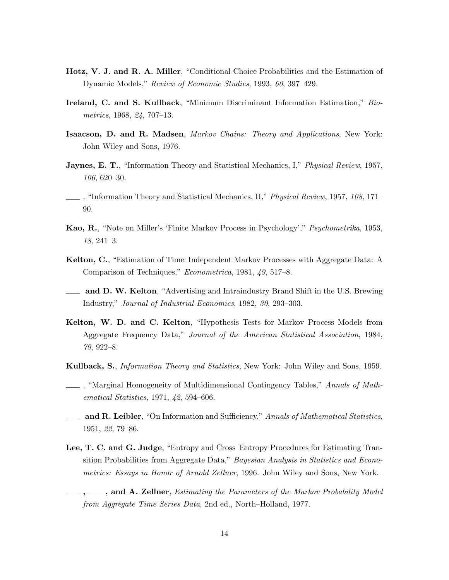- **Hotz, V. J. and R. A. Miller**, "Conditional Choice Probabilities and the Estimation of Dynamic Models," *Review of Economic Studies*, 1993, *60*, 397–429.
- **Ireland, C. and S. Kullback**, "Minimum Discriminant Information Estimation," *Biometrics*, 1968, *24*, 707–13.
- **Isaacson, D. and R. Madsen**, *Markov Chains: Theory and Applications*, New York: John Wiley and Sons, 1976.
- **Jaynes, E. T.**, "Information Theory and Statistical Mechanics, I," *Physical Review*, 1957, *106*, 620–30.
- , "Information Theory and Statistical Mechanics, II," *Physical Review*, 1957, *108*, 171– 90.
- **Kao, R.**, "Note on Miller's 'Finite Markov Process in Psychology'," *Psychometrika*, 1953, *18*, 241–3.
- **Kelton, C.**, "Estimation of Time–Independent Markov Processes with Aggregate Data: A Comparison of Techniques," *Econometrica*, 1981, *49*, 517–8.
- **and D. W. Kelton**, "Advertising and Intraindustry Brand Shift in the U.S. Brewing Industry," *Journal of Industrial Economics*, 1982, *30*, 293–303.
- **Kelton, W. D. and C. Kelton**, "Hypothesis Tests for Markov Process Models from Aggregate Frequency Data," *Journal of the American Statistical Association*, 1984, *79*, 922–8.
- **Kullback, S.**, *Information Theory and Statistics*, New York: John Wiley and Sons, 1959.
- , "Marginal Homogeneity of Multidimensional Contingency Tables," *Annals of Mathematical Statistics*, 1971, *42*, 594–606.
- **and R. Leibler**, "On Information and Sufficiency," *Annals of Mathematical Statistics*, 1951, *22*, 79–86.
- **Lee, T. C. and G. Judge**, "Entropy and Cross–Entropy Procedures for Estimating Transition Probabilities from Aggregate Data," *Bayesian Analysis in Statistics and Econometrics: Essays in Honor of Arnold Zellner*, 1996. John Wiley and Sons, New York.
- **, , and A. Zellner**, *Estimating the Parameters of the Markov Probability Model from Aggregate Time Series Data*, 2nd ed., North–Holland, 1977.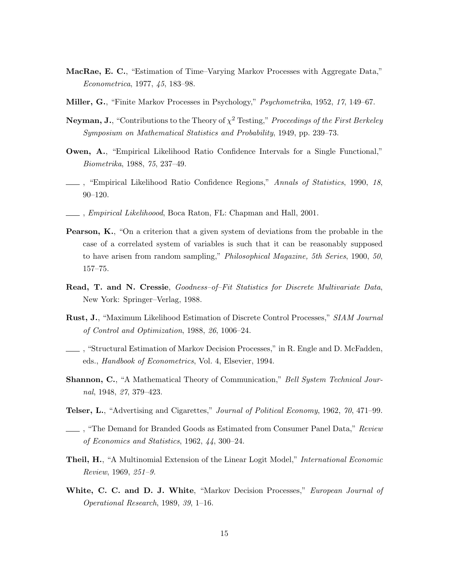- **MacRae, E. C.**, "Estimation of Time–Varying Markov Processes with Aggregate Data," *Econometrica*, 1977, *45*, 183–98.
- **Miller, G.**, "Finite Markov Processes in Psychology," *Psychometrika*, 1952, *17*, 149–67.
- **Neyman, J.**, "Contributions to the Theory of  $\chi^2$  Testing," *Proceedings of the First Berkeley Symposium on Mathematical Statistics and Probability*, 1949, pp. 239–73.
- **Owen, A.,** "Empirical Likelihood Ratio Confidence Intervals for a Single Functional," *Biometrika*, 1988, *75*, 237–49.
- , "Empirical Likelihood Ratio Confidence Regions," *Annals of Statistics*, 1990, *18*, 90–120.
- , *Empirical Likelihoood*, Boca Raton, FL: Chapman and Hall, 2001.
- **Pearson, K.**, "On a criterion that a given system of deviations from the probable in the case of a correlated system of variables is such that it can be reasonably supposed to have arisen from random sampling," *Philosophical Magazine, 5th Series*, 1900, *50*, 157–75.
- **Read, T. and N. Cressie**, *Goodness–of–Fit Statistics for Discrete Multivariate Data*, New York: Springer–Verlag, 1988.
- **Rust, J.**, "Maximum Likelihood Estimation of Discrete Control Processes," *SIAM Journal of Control and Optimization*, 1988, *26*, 1006–24.
- , "Structural Estimation of Markov Decision Processes," in R. Engle and D. McFadden, eds., *Handbook of Econometrics*, Vol. 4, Elsevier, 1994.
- **Shannon, C.**, "A Mathematical Theory of Communication," *Bell System Technical Journal*, 1948, *27*, 379–423.
- **Telser, L.**, "Advertising and Cigarettes," *Journal of Political Economy*, 1962, *70*, 471–99.
- , "The Demand for Branded Goods as Estimated from Consumer Panel Data," *Review of Economics and Statistics*, 1962, *44*, 300–24.
- **Theil, H.**, "A Multinomial Extension of the Linear Logit Model," *International Economic Review*, 1969, *251–9.*
- **White, C. C. and D. J. White**, "Markov Decision Processes," *European Journal of Operational Research*, 1989, *39*, 1–16.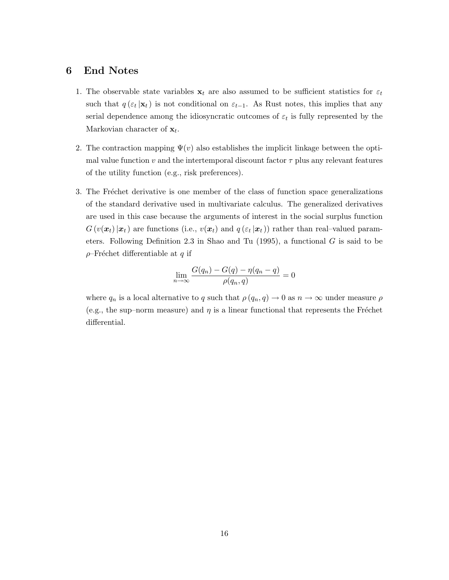## **6 End Notes**

- 1. The observable state variables  $\mathbf{x}_t$  are also assumed to be sufficient statistics for  $\varepsilon_t$ such that  $q(\epsilon_t | \mathbf{x}_t)$  is not conditional on  $\epsilon_{t-1}$ . As Rust notes, this implies that any serial dependence among the idiosyncratic outcomes of  $\varepsilon_t$  is fully represented by the Markovian character of  $x_t$ .
- 2. The contraction mapping  $\Psi(v)$  also establishes the implicit linkage between the optimal value function v and the intertemporal discount factor  $\tau$  plus any relevant features of the utility function (e.g., risk preferences).
- 3. The Fréchet derivative is one member of the class of function space generalizations of the standard derivative used in multivariate calculus. The generalized derivatives are used in this case because the arguments of interest in the social surplus function  $G(v(\boldsymbol{x}_t)|\boldsymbol{x}_t)$  are functions (i.e.,  $v(\boldsymbol{x}_t)$  and  $q(\varepsilon_t|\boldsymbol{x}_t)$ ) rather than real–valued parameters. Following Definition 2.3 in Shao and Tu  $(1995)$ , a functional G is said to be  $\rho$ –Fréchet differentiable at q if

$$
\lim_{n \to \infty} \frac{G(q_n) - G(q) - \eta(q_n - q)}{\rho(q_n, q)} = 0
$$

where  $q_n$  is a local alternative to q such that  $\rho(q_n, q) \to 0$  as  $n \to \infty$  under measure  $\rho$ (e.g., the sup–norm measure) and  $\eta$  is a linear functional that represents the Fréchet differential.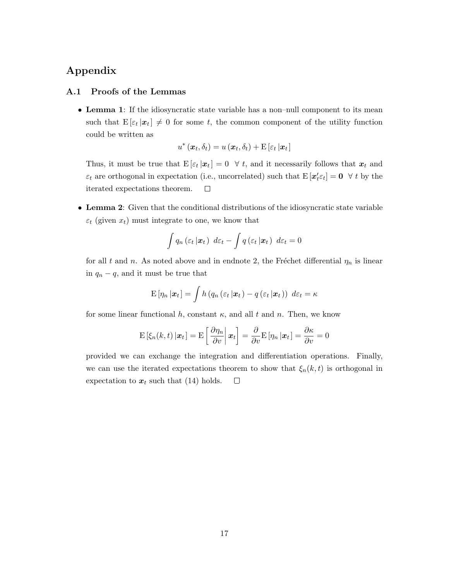## **Appendix**

#### **A.1 Proofs of the Lemmas**

• **Lemma 1**: If the idiosyncratic state variable has a non–null component to its mean such that  $E[\varepsilon_t | x_t] \neq 0$  for some t, the common component of the utility function could be written as

$$
u^*(\boldsymbol{x}_t, \delta_t) = u(\boldsymbol{x}_t, \delta_t) + \mathrm{E}\left[\varepsilon_t \,|\boldsymbol{x}_t\right]
$$

Thus, it must be true that  $E[\varepsilon_t | \mathbf{x}_t] = 0 \quad \forall \, t$ , and it necessarily follows that  $\mathbf{x}_t$  and  $\varepsilon_t$  are orthogonal in expectation (i.e., uncorrelated) such that  $E[\mathbf{x}'_t \varepsilon_t] = \mathbf{0} \ \ \forall \ t \text{ by the}$ iterated expectations theorem.  $\Box$ 

• **Lemma 2**: Given that the conditional distributions of the idiosyncratic state variable  $\varepsilon_t$  (given  $x_t$ ) must integrate to one, we know that

$$
\int q_n(\varepsilon_t \,|\, \boldsymbol{x}_t) \, d\varepsilon_t - \int q(\varepsilon_t \,|\, \boldsymbol{x}_t) \, d\varepsilon_t = 0
$$

for all t and n. As noted above and in endnote 2, the Fréchet differential  $\eta_n$  is linear in  $q_n - q$ , and it must be true that

$$
\mathbf{E}\left[\eta_n\left|\boldsymbol{x}_t\right.\right] = \int h\left(q_n\left(\varepsilon_t\left|\boldsymbol{x}_t\right.\right) - q\left(\varepsilon_t\left|\boldsymbol{x}_t\right.\right)\right) d\varepsilon_t = \kappa
$$

for some linear functional h, constant  $\kappa$ , and all t and n. Then, we know

$$
\mathrm{E}\left[\xi_n(k,t)\left|\boldsymbol{x}_t\right.\right] = \mathrm{E}\left[\left.\frac{\partial \eta_n}{\partial v}\right|\boldsymbol{x}_t\right] = \frac{\partial}{\partial v}\mathrm{E}\left[\eta_n\left|\boldsymbol{x}_t\right.\right] = \frac{\partial \kappa}{\partial v} = 0
$$

provided we can exchange the integration and differentiation operations. Finally, we can use the iterated expectations theorem to show that  $\xi_n(k,t)$  is orthogonal in expectation to  $x_t$  such that (14) holds.  $\Box$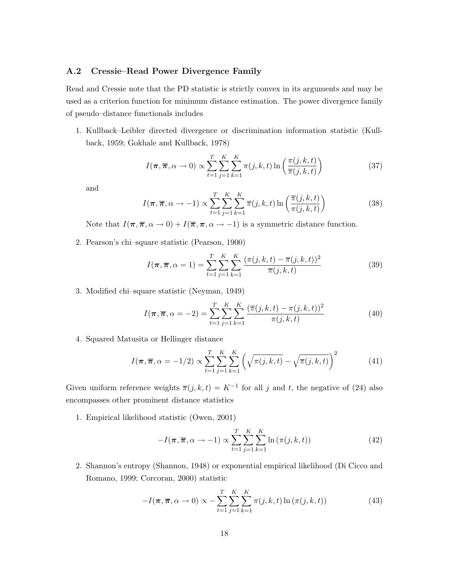#### **A.2 Cressie–Read Power Divergence Family**

Read and Cressie note that the PD statistic is strictly convex in its arguments and may be used as a criterion function for minimum distance estimation. The power divergence family of pseudo–distance functionals includes

1. Kullback–Leibler directed divergence or discrimination information statistic (Kullback, 1959; Gokhale and Kullback, 1978)

$$
I(\pi, \overline{\pi}, \alpha \to 0) \propto \sum_{t=1}^{T} \sum_{j=1}^{K} \sum_{k=1}^{K} \pi(j, k, t) \ln \left( \frac{\pi(j, k, t)}{\overline{\pi}(j, k, t)} \right)
$$
(37)

and

$$
I(\boldsymbol{\pi}, \boldsymbol{\overline{\pi}}, \alpha \to -1) \propto \sum_{t=1}^{T} \sum_{j=1}^{K} \sum_{k=1}^{K} \overline{\pi}(j, k, t) \ln \left( \frac{\overline{\pi}(j, k, t)}{\pi(j, k, t)} \right)
$$
(38)

Note that  $I(\pi, \overline{\pi}, \alpha \to 0) + I(\overline{\pi}, \pi, \alpha \to -1)$  is a symmetric distance function.

2. Pearson's chi–square statistic (Pearson, 1900)

$$
I(\pi, \overline{\pi}, \alpha = 1) = \sum_{t=1}^{T} \sum_{j=1}^{K} \sum_{k=1}^{K} \frac{(\pi(j, k, t) - \overline{\pi}(j, k, t))^2}{\overline{\pi}(j, k, t)}
$$
(39)

3. Modified chi–square statistic (Neyman, 1949)

$$
I(\pi, \overline{\pi}, \alpha = -2) = \sum_{t=1}^{T} \sum_{j=1}^{K} \sum_{k=1}^{K} \frac{(\overline{\pi}(j, k, t) - \pi(j, k, t))^2}{\pi(j, k, t)}
$$
(40)

4. Squared Matusita or Hellinger distance

$$
I(\pi, \overline{\pi}, \alpha = -1/2) \propto \sum_{t=1}^{T} \sum_{j=1}^{K} \sum_{k=1}^{K} \left( \sqrt{\pi(j, k, t)} - \sqrt{\overline{\pi}(j, k, t)} \right)^2
$$
(41)

Given uniform reference weights  $\overline{\pi}(j, k, t) = K^{-1}$  for all j and t, the negative of (24) also encompasses other prominent distance statistics

1. Empirical likelihood statistic (Owen, 2001)

$$
-I(\boldsymbol{\pi}, \overline{\boldsymbol{\pi}}, \alpha \to -1) \propto \sum_{t=1}^{T} \sum_{j=1}^{K} \sum_{k=1}^{K} \ln \left( \pi(j, k, t) \right)
$$
(42)

2. Shannon's entropy (Shannon, 1948) or exponential empirical likelihood (Di Cicco and Romano, 1999; Corcoran, 2000) statistic

$$
-I(\boldsymbol{\pi}, \boldsymbol{\overline{\pi}}, \alpha \to 0) \propto -\sum_{t=1}^{T} \sum_{j=1}^{K} \sum_{k=1}^{K} \pi(j, k, t) \ln(\pi(j, k, t)) \tag{43}
$$